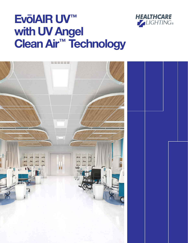

# Ev**ō**lAIR UV™ with UV Angel Clean Air™ Technology

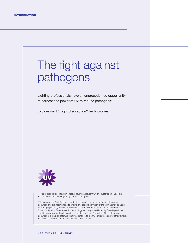# The fight against pathogens

Lighting professionals have an unprecedented opportunity to harness the power of UV to reduce pathogens\*.

Explore our UV light disinfection\*\* technologies.



\* Refer to product specification sheet at acuitybrands.com/UV-Products for efficacy claims and claim substantiation regarding specific pathogens.

\*\*All references to "disinfection" are referring generally to the reduction of pathogenic bioburden and are not intended to refer to any specific definition of the term as may be used for other purposes by the U.S. Food and Drug Administration or the U.S. Environmental Protection Agency. The disinfection technology as incorporated in Acuity Brands products is not for use as or for the disinfection of medical devices. Reduction of the pathogenic bioburden is a function of fixture run time, distance to the UV light source and/or other factors, and the level of reduction will vary within a specific space.

**HEALTHCARE LIGHTING®**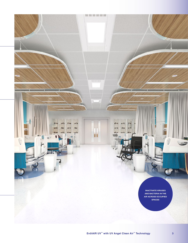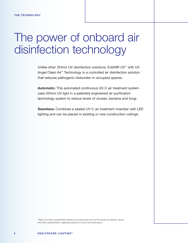# The power of onboard air disinfection technology

Unlike other 254nm UV disinfection solutions, EvōlAIR UV™ with UV Angel Clean Air™ Technology is a controlled air disinfection solution that reduces pathogenic bioburden in occupied spaces.

Automatic: This automated continuous UV-C air treatment system uses 254nm UV light in a patented engineered air purification technology system to reduce levels of viruses, bacteria and fungi.

Seamless: Combines a sealed UV-C air treatment chamber with LED lighting and can be placed in existing or new construction ceilings.

\*Refer to product specification sheets at acuitybrands.com/UV-Products for efficacy claims and claim substantiation regarding specific products and pathogens.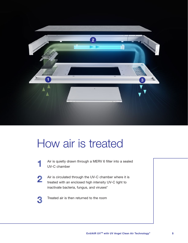

## How air is treated

- Air is quietly drawn through a MERV 6 filter into a sealed UV-C chamber
- Air is circulated through the UV-C chamber where it is treated with an enclosed high intensity UV-C light to inactivate bacteria, fungus, and viruses\* 2
	- Treated air is then returned to the room

1

3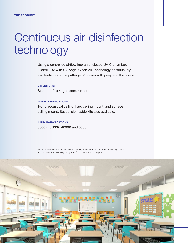## Continuous air disinfection technology

Using a controlled airflow into an enclosed UV-C chamber, EvōlAIR UV with UV Angel Clean Air Technology continuously inactivates airborne pathogens\* - even with people in the space.

DIMENSIONS: Standard 2' x 4' grid construction

#### INSTALLATION OPTIONS:

T-grid acoustical ceiling, hard ceiling mount, and surface ceiling mount. Suspension cable kits also available.

### ILLUMINATION OPTIONS: 3000K, 3500K, 4000K and 5000K

\*Refer to product specification sheets at acuitybrands.com/UV-Products for efficacy claims and claim substantiation regarding specific products and pathogens.

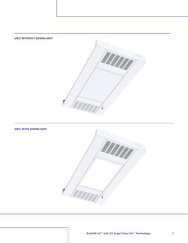

### UNIT WITH DOWNLIGHT